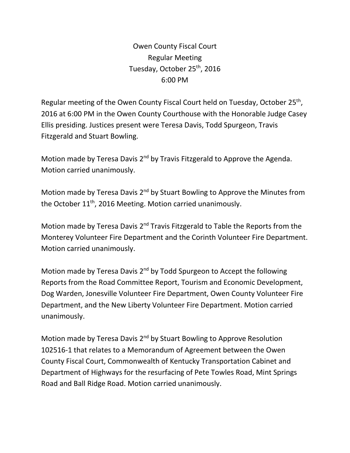Owen County Fiscal Court Regular Meeting Tuesday, October 25<sup>th</sup>, 2016 6:00 PM

Regular meeting of the Owen County Fiscal Court held on Tuesday, October 25<sup>th</sup>, 2016 at 6:00 PM in the Owen County Courthouse with the Honorable Judge Casey Ellis presiding. Justices present were Teresa Davis, Todd Spurgeon, Travis Fitzgerald and Stuart Bowling.

Motion made by Teresa Davis 2<sup>nd</sup> by Travis Fitzgerald to Approve the Agenda. Motion carried unanimously.

Motion made by Teresa Davis 2<sup>nd</sup> by Stuart Bowling to Approve the Minutes from the October 11<sup>th</sup>, 2016 Meeting. Motion carried unanimously.

Motion made by Teresa Davis 2<sup>nd</sup> Travis Fitzgerald to Table the Reports from the Monterey Volunteer Fire Department and the Corinth Volunteer Fire Department. Motion carried unanimously.

Motion made by Teresa Davis 2<sup>nd</sup> by Todd Spurgeon to Accept the following Reports from the Road Committee Report, Tourism and Economic Development, Dog Warden, Jonesville Volunteer Fire Department, Owen County Volunteer Fire Department, and the New Liberty Volunteer Fire Department. Motion carried unanimously.

Motion made by Teresa Davis 2<sup>nd</sup> by Stuart Bowling to Approve Resolution 102516-1 that relates to a Memorandum of Agreement between the Owen County Fiscal Court, Commonwealth of Kentucky Transportation Cabinet and Department of Highways for the resurfacing of Pete Towles Road, Mint Springs Road and Ball Ridge Road. Motion carried unanimously.